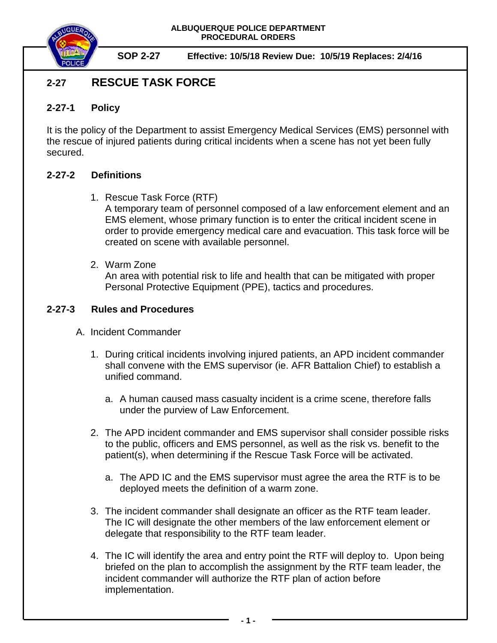

**SOP 2-27 Effective: 10/5/18 Review Due: 10/5/19 Replaces: 2/4/16**

# **2-27 RESCUE TASK FORCE**

### **2-27-1 Policy**

It is the policy of the Department to assist Emergency Medical Services (EMS) personnel with the rescue of injured patients during critical incidents when a scene has not yet been fully secured.

#### **2-27-2 Definitions**

1. Rescue Task Force (RTF)

A temporary team of personnel composed of a law enforcement element and an EMS element, whose primary function is to enter the critical incident scene in order to provide emergency medical care and evacuation. This task force will be created on scene with available personnel.

2. Warm Zone

An area with potential risk to life and health that can be mitigated with proper Personal Protective Equipment (PPE), tactics and procedures.

## **2-27-3 Rules and Procedures**

- A. Incident Commander
	- 1. During critical incidents involving injured patients, an APD incident commander shall convene with the EMS supervisor (ie. AFR Battalion Chief) to establish a unified command.
		- a. A human caused mass casualty incident is a crime scene, therefore falls under the purview of Law Enforcement.
	- 2. The APD incident commander and EMS supervisor shall consider possible risks to the public, officers and EMS personnel, as well as the risk vs. benefit to the patient(s), when determining if the Rescue Task Force will be activated.
		- a. The APD IC and the EMS supervisor must agree the area the RTF is to be deployed meets the definition of a warm zone.
	- 3. The incident commander shall designate an officer as the RTF team leader. The IC will designate the other members of the law enforcement element or delegate that responsibility to the RTF team leader.
	- 4. The IC will identify the area and entry point the RTF will deploy to. Upon being briefed on the plan to accomplish the assignment by the RTF team leader, the incident commander will authorize the RTF plan of action before implementation.